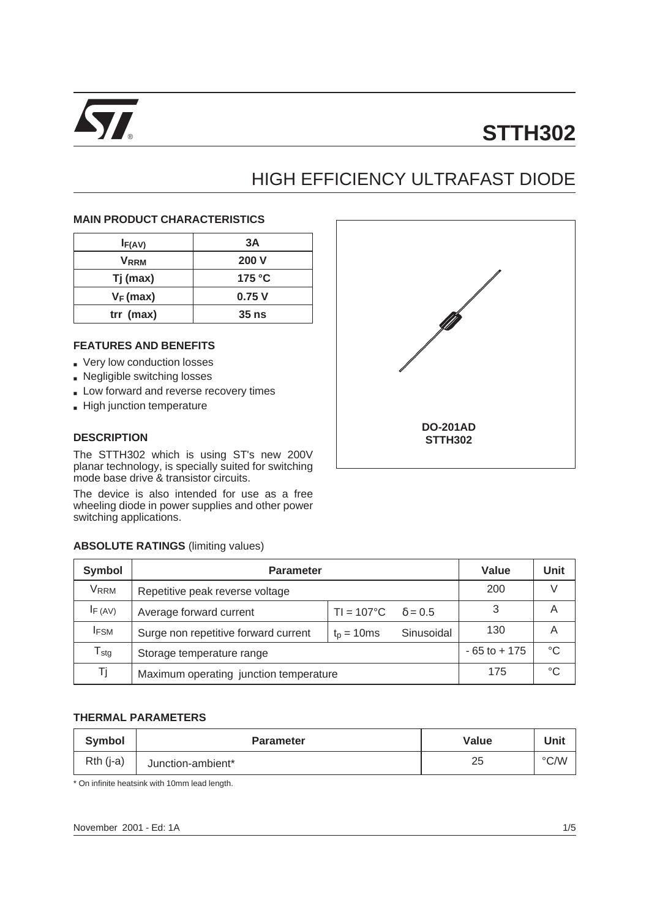

# HIGH EFFICIENCY ULTRAFAST DIODE

#### **MAIN PRODUCT CHARACTERISTICS**

| I <sub>F(AV)</sub> | 3Α              |
|--------------------|-----------------|
| V <sub>RRM</sub>   | <b>200 V</b>    |
| Tj (max)           | 175 $\degree$ C |
| $V_F$ (max)        | 0.75V           |
| $trr$ (max)        | $35$ ns         |

#### **FEATURES AND BENEFITS**

- Very low conduction losses
- Negligible switching losses
- Low forward and reverse recovery times
- High junction temperature

#### **DESCRIPTION**

The STTH302 which is using ST's new 200V planar technology, is specially suited for switching mode base drive & transistor circuits.

The device is also intended for use as a free wheeling diode in power supplies and other power switching applications.

#### **ABSOLUTE RATINGS** (limiting values)

| <b>ABSOLUTE RATINGS (limiting values)</b>  |                                        |                     |                |     |   |  |  |  |  |
|--------------------------------------------|----------------------------------------|---------------------|----------------|-----|---|--|--|--|--|
| <b>Symbol</b><br>Value<br><b>Parameter</b> |                                        |                     |                |     |   |  |  |  |  |
| V <sub>RRM</sub>                           | Repetitive peak reverse voltage        |                     |                | 200 | V |  |  |  |  |
| $I_F(AV)$                                  | Average forward current                | $TI = 107^{\circ}C$ | $\delta = 0.5$ | 3   | A |  |  |  |  |
| <b>I</b> FSM                               | Surge non repetitive forward current   | $t_p = 10$ ms       | Sinusoidal     | 130 | A |  |  |  |  |
| ${\mathsf T}_{\textsf{stg}}$               | Storage temperature range              | $-65$ to $+175$     | $^{\circ}$ C   |     |   |  |  |  |  |
| Τj                                         | Maximum operating junction temperature | 175                 | °C             |     |   |  |  |  |  |

#### **THERMAL PARAMETERS**

| <b>Symbol</b>   | <b>Parameter</b>  | Value |               |
|-----------------|-------------------|-------|---------------|
| $Rth$ ( $i$ -a) | Junction-ambient* | 25    | $\degree$ C/W |

\* On infinite heatsink with 10mm lead length.

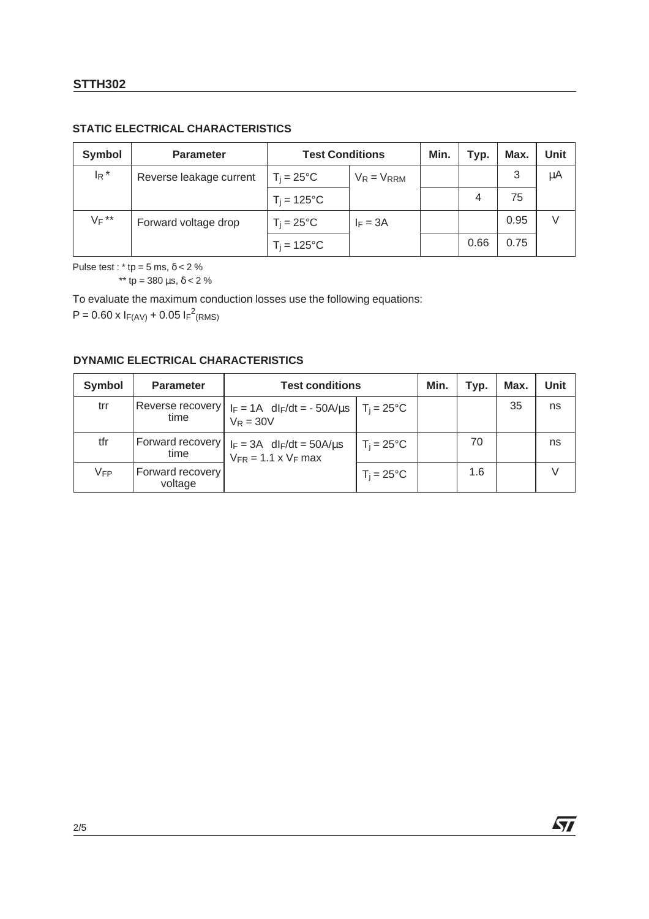## **STATIC ELECTRICAL CHARACTERISTICS**

| <b>Symbol</b>      | <b>Parameter</b>        | <b>Test Conditions</b> | Min.            | Typ. | Max. | Unit |    |
|--------------------|-------------------------|------------------------|-----------------|------|------|------|----|
| $I_R$ <sup>*</sup> | Reverse leakage current | $T_i = 25^{\circ}C$    | $V_R = V_{RRM}$ |      |      | 3    | μA |
|                    |                         | $T_i = 125$ °C         |                 |      | 4    | 75   |    |
| $V_F$ **           | Forward voltage drop    | $T_i = 25^{\circ}C$    | $I_F = 3A$      |      |      | 0.95 |    |
|                    |                         | $T_i = 125$ °C         |                 |      | 0.66 | 0.75 |    |

Pulse test :  $*$  tp = 5 ms,  $\delta$  < 2 %

 $**$  tp = 380 μs, δ < 2 %

To evaluate the maximum conduction losses use the following equations:

 $P = 0.60 \times I_{F(AV)} + 0.05 I_{F}^{2}$ (RMS)

#### **DYNAMIC ELECTRICAL CHARACTERISTICS**

| <b>Symbol</b>   | <b>Parameter</b>            | <b>Test conditions</b>                                                                      | Min.                | Typ. | Max. | Unit |    |
|-----------------|-----------------------------|---------------------------------------------------------------------------------------------|---------------------|------|------|------|----|
| trr             | time                        | Reverse recovery   $I_F = 1A$ dl $F/dt = -50A/\mu s$   T <sub>j</sub> = 25°C<br>$V_R = 30V$ |                     |      |      | 35   | ns |
| tfr             | time                        | $ Forward$ recovery $  I_F = 3A \text{ dI}_F/dt = 50A/\mu s$<br>$V_{FR}$ = 1.1 x $V_F$ max  | $T_i = 25^{\circ}C$ |      | 70   |      | ns |
| V <sub>FP</sub> | Forward recovery<br>voltage |                                                                                             | $T_i = 25^{\circ}C$ |      | 1.6  |      |    |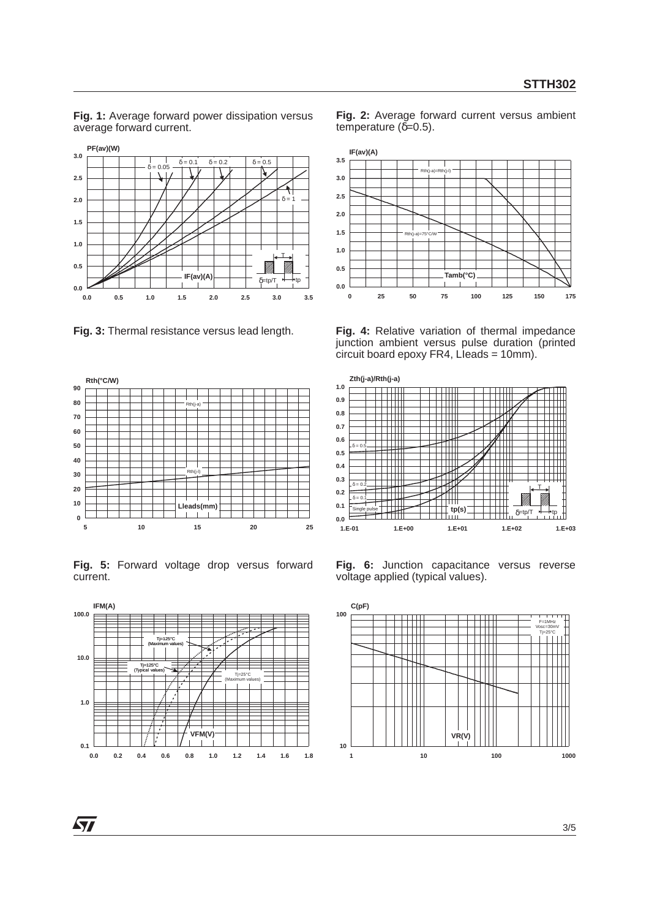**Fig. 1:** Average forward power dissipation versus average forward current.



**Fig. 3:** Thermal resistance versus lead length.



**Fig. 5:** Forward voltage drop versus forward current.



**Fig. 2:** Average forward current versus ambient temperature  $(δ=0.5)$ .



**Fig. 4:** Relative variation of thermal impedance junction ambient versus pulse duration (printed  $\frac{1}{2}$  circuit board epoxy FR4, Lieads = 10mm).



**Fig. 6:** Junction capacitance versus reverse voltage applied (typical values).

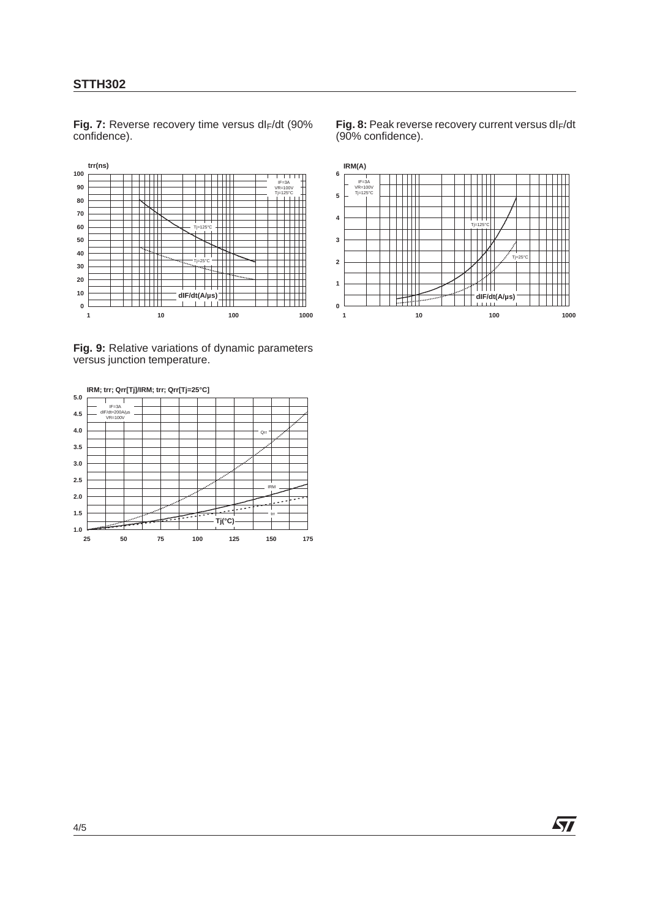#### **STTH302**

**trr(ns) 100** IF=3A VR=100V **90**  $\color{red}+$  $\begin{picture}(150,10) \put(0,0){\dashbox{0.5}(10,0){ }} \put(150,0){\circle{10}} \put(150,0){\circle{10}} \put(150,0){\circle{10}} \put(150,0){\circle{10}} \put(150,0){\circle{10}} \put(150,0){\circle{10}} \put(150,0){\circle{10}} \put(150,0){\circle{10}} \put(150,0){\circle{10}} \put(150,0){\circle{10}} \put(150,0){\circle{10}} \put(150,0){\circle{10}} \put(150,$ Tj=125°C **80 70 60 50**  $\frac{1}{25^{\circ}}$ **40 30 dIF/dt(A/µs) 20**  $\top$   $\top$   $\top$ **10** titil **0** ╥ **1** 10 **1000 1000 1000 1000** 

Fig. 7: Reverse recovery time versus dl<sub>F</sub>/dt (90% confidence).

Fig. 8: Peak reverse recovery current versus dl<sub>F</sub>/dt (90% confidence).



**Fig. 9:** Relative variations of dynamic parameters versus junction temperature.